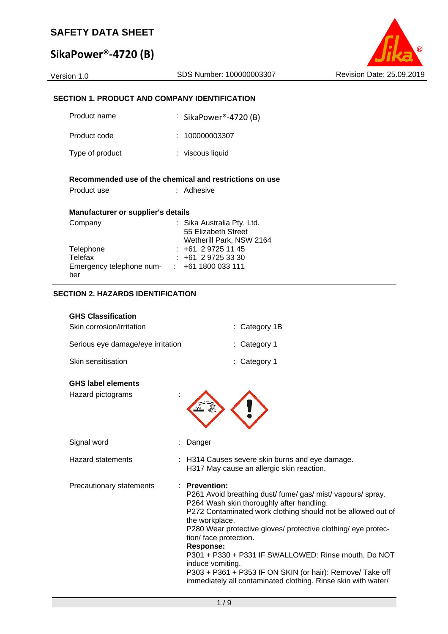# **SikaPower®‐4720 (B)**



#### **SECTION 1. PRODUCT AND COMPANY IDENTIFICATION**

| Product name                                             | $\cdot$ SikaPower®-4720 (B)                                                   |
|----------------------------------------------------------|-------------------------------------------------------------------------------|
| Product code                                             | : 100000003307                                                                |
| Type of product                                          | : viscous liquid                                                              |
| Product use                                              | Recommended use of the chemical and restrictions on use<br>: Adhesive         |
| Manufacturer or supplier's details                       |                                                                               |
| Company                                                  | : Sika Australia Pty. Ltd.<br>55 Elizabeth Street<br>Wetherill Park, NSW 2164 |
| Telephone                                                | : +61 2 9725 11 45                                                            |
| Telefax                                                  | : 161297253330                                                                |
| Emergency telephone num- $\cdot$ +61 1800 033 111<br>ber |                                                                               |

#### **SECTION 2. HAZARDS IDENTIFICATION**

| <b>GHS Classification</b>         |                 |
|-----------------------------------|-----------------|
| Skin corrosion/irritation         | $:$ Category 1B |
| Serious eye damage/eye irritation | $:$ Category 1  |
| <b>Skin sensitisation</b>         | $:$ Category 1  |

#### **GHS label elements**

| Hazard pictograms |  |
|-------------------|--|
|-------------------|--|



| Signal word              | : Danger                                                                                                                                                                                                                                                                                                                                                                                     |
|--------------------------|----------------------------------------------------------------------------------------------------------------------------------------------------------------------------------------------------------------------------------------------------------------------------------------------------------------------------------------------------------------------------------------------|
| <b>Hazard statements</b> | : H314 Causes severe skin burns and eye damage.<br>H317 May cause an allergic skin reaction.                                                                                                                                                                                                                                                                                                 |
| Precautionary statements | $:$ Prevention:<br>P261 Avoid breathing dust/fume/gas/mist/vapours/spray.<br>P264 Wash skin thoroughly after handling.<br>P272 Contaminated work clothing should not be allowed out of<br>the workplace.<br>P280 Wear protective gloves/ protective clothing/ eye protec-<br>tion/ face protection.<br>Response:<br>P301 + P330 + P331 IF SWALLOWED: Rinse mouth. Do NOT<br>induce vomiting. |

P303 + P361 + P353 IF ON SKIN (or hair): Remove/ Take off immediately all contaminated clothing. Rinse skin with water/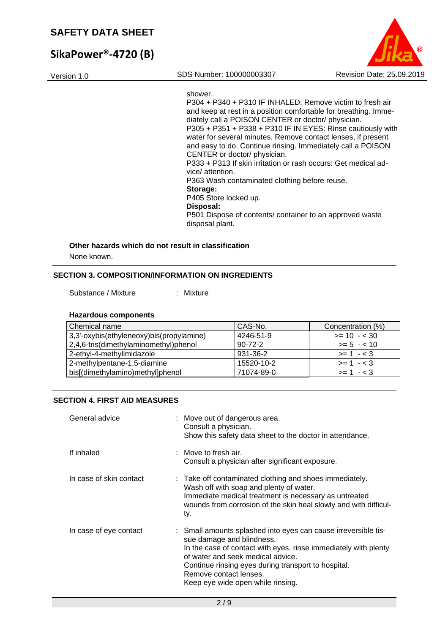# **SikaPower®‐4720 (B)**



shower.

P304 + P340 + P310 IF INHALED: Remove victim to fresh air and keep at rest in a position comfortable for breathing. Immediately call a POISON CENTER or doctor/ physician.  $P305 + P351 + P338 + P310$  IF IN EYES: Rinse cautiously with water for several minutes. Remove contact lenses, if present and easy to do. Continue rinsing. Immediately call a POISON CENTER or doctor/ physician. P333 + P313 If skin irritation or rash occurs: Get medical advice/ attention. P363 Wash contaminated clothing before reuse. **Storage:**  P405 Store locked up. **Disposal:**  P501 Dispose of contents/ container to an approved waste disposal plant.

#### **Other hazards which do not result in classification**

None known.

#### **SECTION 3. COMPOSITION/INFORMATION ON INGREDIENTS**

Substance / Mixture : Mixture

#### **Hazardous components**

| Chemical name                            | CAS-No.       | Concentration (%) |
|------------------------------------------|---------------|-------------------|
| 3,3'-oxybis(ethyleneoxy)bis(propylamine) | 4246-51-9     | $>= 10 - 30$      |
| 2,4,6-tris(dimethylaminomethyl)phenol    | $90 - 72 - 2$ | $>= 5 - 10$       |
| 2-ethyl-4-methylimidazole                | 931-36-2      | $>= 1 - 3$        |
| 2-methylpentane-1,5-diamine              | 15520-10-2    | $>= 1 - 3$        |
| bis[(dimethylamino)methyl]phenol         | 71074-89-0    | $>= 1 - < 3$      |

#### **SECTION 4. FIRST AID MEASURES**

| General advice          | : Move out of dangerous area.<br>Consult a physician.<br>Show this safety data sheet to the doctor in attendance.                                                                                                                                                                                                         |
|-------------------------|---------------------------------------------------------------------------------------------------------------------------------------------------------------------------------------------------------------------------------------------------------------------------------------------------------------------------|
| If inhaled              | $:$ Move to fresh air.<br>Consult a physician after significant exposure.                                                                                                                                                                                                                                                 |
| In case of skin contact | : Take off contaminated clothing and shoes immediately.<br>Wash off with soap and plenty of water.<br>Immediate medical treatment is necessary as untreated<br>wounds from corrosion of the skin heal slowly and with difficul-<br>ty.                                                                                    |
| In case of eye contact  | : Small amounts splashed into eyes can cause irreversible tis-<br>sue damage and blindness.<br>In the case of contact with eyes, rinse immediately with plenty<br>of water and seek medical advice.<br>Continue rinsing eyes during transport to hospital.<br>Remove contact lenses.<br>Keep eye wide open while rinsing. |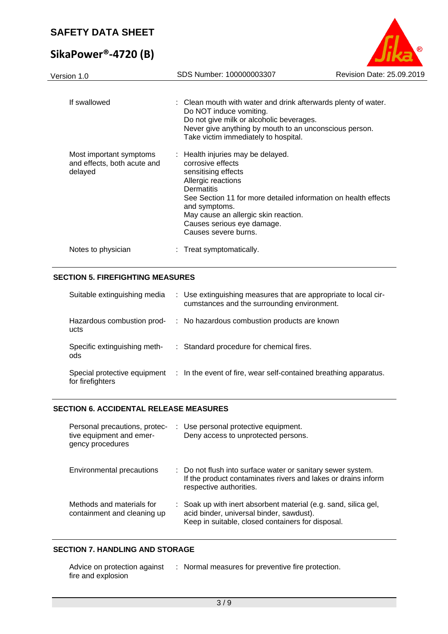# **SikaPower®‐4720 (B)**



#### **SECTION 5. FIREFIGHTING MEASURES**

| Suitable extinguishing media                     | : Use extinguishing measures that are appropriate to local cir-<br>cumstances and the surrounding environment. |
|--------------------------------------------------|----------------------------------------------------------------------------------------------------------------|
| Hazardous combustion prod-<br>ucts               | : No hazardous combustion products are known                                                                   |
| Specific extinguishing meth-<br>ods              | : Standard procedure for chemical fires.                                                                       |
| Special protective equipment<br>for firefighters | : In the event of fire, wear self-contained breathing apparatus.                                               |

#### **SECTION 6. ACCIDENTAL RELEASE MEASURES**

| Personal precautions, protec-<br>tive equipment and emer-<br>gency procedures | : Use personal protective equipment.<br>Deny access to unprotected persons.                                                                                      |
|-------------------------------------------------------------------------------|------------------------------------------------------------------------------------------------------------------------------------------------------------------|
| Environmental precautions                                                     | : Do not flush into surface water or sanitary sewer system.<br>If the product contaminates rivers and lakes or drains inform<br>respective authorities.          |
| Methods and materials for<br>containment and cleaning up                      | : Soak up with inert absorbent material (e.g. sand, silica gel,<br>acid binder, universal binder, sawdust).<br>Keep in suitable, closed containers for disposal. |

#### **SECTION 7. HANDLING AND STORAGE**

| Advice on protection against | : Normal measures for preventive fire protection. |
|------------------------------|---------------------------------------------------|
| fire and explosion           |                                                   |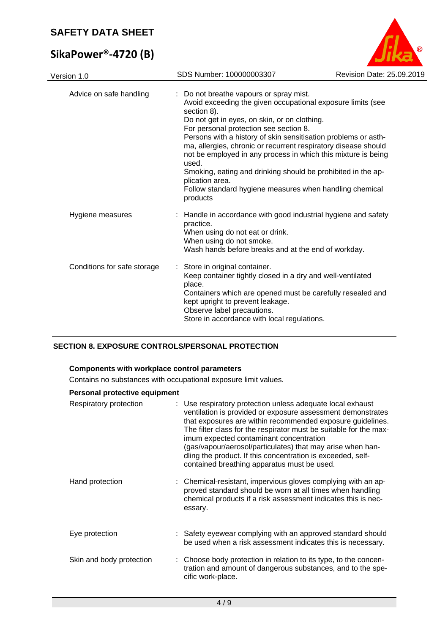# **SikaPower®‐4720 (B)**



| Version 1.0                 | SDS Number: 100000003307                                                                                                                                                                                                                                                                                                                                                                                                                                                                                                                                                              | Revision Date: 25.09.2019 |
|-----------------------------|---------------------------------------------------------------------------------------------------------------------------------------------------------------------------------------------------------------------------------------------------------------------------------------------------------------------------------------------------------------------------------------------------------------------------------------------------------------------------------------------------------------------------------------------------------------------------------------|---------------------------|
| Advice on safe handling     | Do not breathe vapours or spray mist.<br>Avoid exceeding the given occupational exposure limits (see<br>section 8).<br>Do not get in eyes, on skin, or on clothing.<br>For personal protection see section 8.<br>Persons with a history of skin sensitisation problems or asth-<br>ma, allergies, chronic or recurrent respiratory disease should<br>not be employed in any process in which this mixture is being<br>used.<br>Smoking, eating and drinking should be prohibited in the ap-<br>plication area.<br>Follow standard hygiene measures when handling chemical<br>products |                           |
| Hygiene measures            | Handle in accordance with good industrial hygiene and safety<br>practice.<br>When using do not eat or drink.<br>When using do not smoke.<br>Wash hands before breaks and at the end of workday.                                                                                                                                                                                                                                                                                                                                                                                       |                           |
| Conditions for safe storage | : Store in original container.<br>Keep container tightly closed in a dry and well-ventilated<br>place.<br>Containers which are opened must be carefully resealed and<br>kept upright to prevent leakage.<br>Observe label precautions.<br>Store in accordance with local regulations.                                                                                                                                                                                                                                                                                                 |                           |

### **SECTION 8. EXPOSURE CONTROLS/PERSONAL PROTECTION**

#### **Components with workplace control parameters**

Contains no substances with occupational exposure limit values.

#### **Personal protective equipment**

| Respiratory protection   | : Use respiratory protection unless adequate local exhaust<br>ventilation is provided or exposure assessment demonstrates<br>that exposures are within recommended exposure guidelines.<br>The filter class for the respirator must be suitable for the max-<br>imum expected contaminant concentration<br>(gas/vapour/aerosol/particulates) that may arise when han-<br>dling the product. If this concentration is exceeded, self-<br>contained breathing apparatus must be used. |
|--------------------------|-------------------------------------------------------------------------------------------------------------------------------------------------------------------------------------------------------------------------------------------------------------------------------------------------------------------------------------------------------------------------------------------------------------------------------------------------------------------------------------|
| Hand protection          | : Chemical-resistant, impervious gloves complying with an ap-<br>proved standard should be worn at all times when handling<br>chemical products if a risk assessment indicates this is nec-<br>essary.                                                                                                                                                                                                                                                                              |
| Eye protection           | : Safety eyewear complying with an approved standard should<br>be used when a risk assessment indicates this is necessary.                                                                                                                                                                                                                                                                                                                                                          |
| Skin and body protection | : Choose body protection in relation to its type, to the concen-<br>tration and amount of dangerous substances, and to the spe-<br>cific work-place.                                                                                                                                                                                                                                                                                                                                |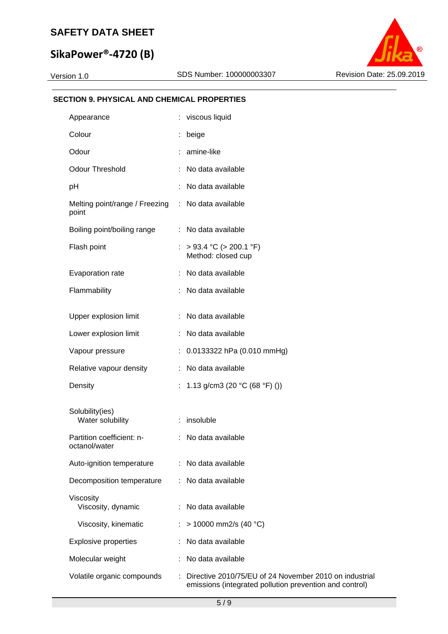# **SikaPower®‐4720 (B)**



#### **SECTION 9. PHYSICAL AND CHEMICAL PROPERTIES**

| Appearance                                 |    | : viscous liquid                                                                                                  |
|--------------------------------------------|----|-------------------------------------------------------------------------------------------------------------------|
| Colour                                     | ÷. | beige                                                                                                             |
| Odour                                      |    | amine-like                                                                                                        |
| <b>Odour Threshold</b>                     |    | No data available                                                                                                 |
| pH                                         |    | No data available                                                                                                 |
| Melting point/range / Freezing :<br>point  |    | No data available                                                                                                 |
| Boiling point/boiling range                |    | : No data available                                                                                               |
| Flash point                                | ÷. | $> 93.4$ °C ( $> 200.1$ °F)<br>Method: closed cup                                                                 |
| Evaporation rate                           |    | : No data available                                                                                               |
| Flammability                               |    | : No data available                                                                                               |
| Upper explosion limit                      | ÷. | No data available                                                                                                 |
| Lower explosion limit                      | ÷. | No data available                                                                                                 |
|                                            |    |                                                                                                                   |
| Vapour pressure                            |    | $: 0.0133322$ hPa (0.010 mmHg)                                                                                    |
| Relative vapour density                    | ÷. | No data available                                                                                                 |
| Density                                    | ÷. | 1.13 g/cm3 (20 °C (68 °F) ())                                                                                     |
| Solubility(ies)<br>Water solubility        |    | : insoluble                                                                                                       |
| Partition coefficient: n-<br>octanol/water | ÷. | No data available                                                                                                 |
| Auto-ignition temperature                  |    | No data available                                                                                                 |
| Decomposition temperature                  |    | No data available                                                                                                 |
| Viscosity<br>Viscosity, dynamic            |    | No data available                                                                                                 |
| Viscosity, kinematic                       |    | $> 10000$ mm2/s (40 °C)                                                                                           |
| <b>Explosive properties</b>                |    | No data available                                                                                                 |
| Molecular weight                           |    | No data available                                                                                                 |
| Volatile organic compounds                 |    | Directive 2010/75/EU of 24 November 2010 on industrial<br>emissions (integrated pollution prevention and control) |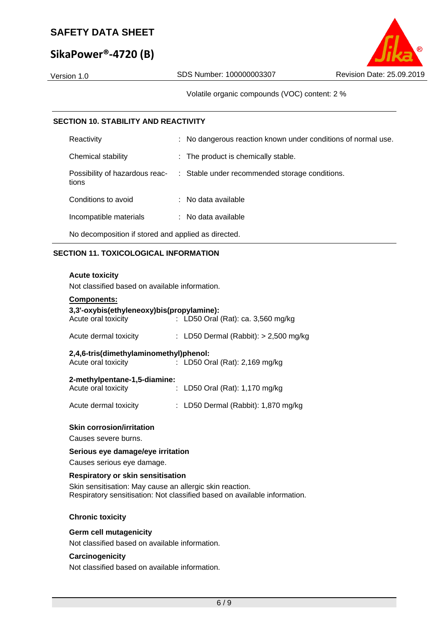# **SikaPower®‐4720 (B)**

Volatile organic compounds (VOC) content: 2 %

#### **SECTION 10. STABILITY AND REACTIVITY**

| Reactivity                                          | : No dangerous reaction known under conditions of normal use. |  |  |  |  |
|-----------------------------------------------------|---------------------------------------------------------------|--|--|--|--|
| Chemical stability                                  | : The product is chemically stable.                           |  |  |  |  |
| Possibility of hazardous reac-<br>tions             | : Stable under recommended storage conditions.                |  |  |  |  |
| Conditions to avoid                                 | $:$ No data available                                         |  |  |  |  |
| Incompatible materials                              | : No data available                                           |  |  |  |  |
| No decomposition if stored and applied as directed. |                                                               |  |  |  |  |

#### **SECTION 11. TOXICOLOGICAL INFORMATION**

#### **Acute toxicity**

Not classified based on available information.

| <b>Components:</b>                                               |                                         |
|------------------------------------------------------------------|-----------------------------------------|
| 3,3'-oxybis(ethyleneoxy)bis(propylamine):<br>Acute oral toxicity | : LD50 Oral (Rat): ca. 3,560 mg/kg      |
| Acute dermal toxicity                                            | : LD50 Dermal (Rabbit): $> 2,500$ mg/kg |
| 2,4,6-tris(dimethylaminomethyl)phenol:<br>Acute oral toxicity    | : LD50 Oral (Rat): $2,169$ mg/kg        |
| 2-methylpentane-1,5-diamine:                                     |                                         |
| Acute oral toxicity                                              | : LD50 Oral (Rat): $1,170$ mg/kg        |
| Acute dermal toxicity                                            | : LD50 Dermal (Rabbit): $1,870$ mg/kg   |
|                                                                  |                                         |

#### **Skin corrosion/irritation**

Causes severe burns.

#### **Serious eye damage/eye irritation**

Causes serious eye damage.

#### **Respiratory or skin sensitisation**

Skin sensitisation: May cause an allergic skin reaction. Respiratory sensitisation: Not classified based on available information.

#### **Chronic toxicity**

#### **Germ cell mutagenicity**

Not classified based on available information.

#### **Carcinogenicity**

Not classified based on available information.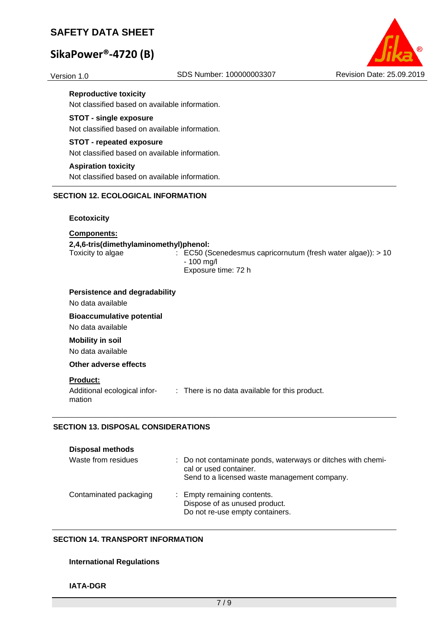# **SikaPower®‐4720 (B)**



#### **Reproductive toxicity**

Not classified based on available information.

#### **STOT - single exposure**

Not classified based on available information.

#### **STOT - repeated exposure**

Not classified based on available information.

#### **Aspiration toxicity**

Not classified based on available information.

#### **SECTION 12. ECOLOGICAL INFORMATION**

#### **Ecotoxicity**

#### **Components:**

#### **2,4,6-tris(dimethylaminomethyl)phenol:**

Toxicity to algae : EC50 (Scenedesmus capricornutum (fresh water algae)): > 10 - 100 mg/l Exposure time: 72 h

#### **Persistence and degradability**

No data available

**Bioaccumulative potential**  No data available

#### **Mobility in soil**

No data available

**Other adverse effects** 

#### **Product:**

mation

Additional ecological infor-: There is no data available for this product.

#### **SECTION 13. DISPOSAL CONSIDERATIONS**

#### **Disposal methods**

| Waste from residues    | : Do not contaminate ponds, waterways or ditches with chemi-<br>cal or used container.<br>Send to a licensed waste management company. |
|------------------------|----------------------------------------------------------------------------------------------------------------------------------------|
| Contaminated packaging | : Empty remaining contents.<br>Dispose of as unused product.<br>Do not re-use empty containers.                                        |

#### **SECTION 14. TRANSPORT INFORMATION**

#### **International Regulations**

#### **IATA-DGR**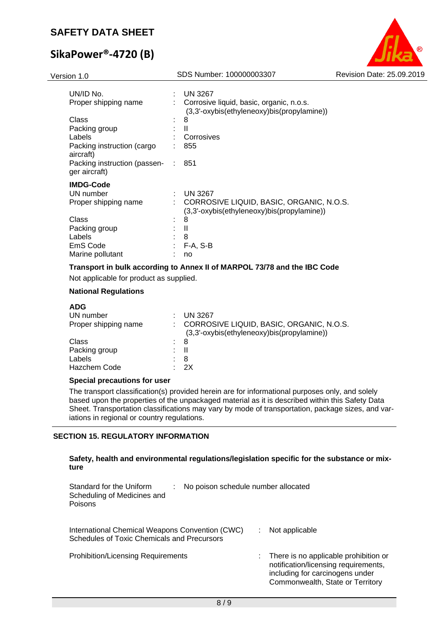# **SikaPower®‐4720 (B)**



| UN/ID No.                                     |   | <b>UN 3267</b>                                                                         |
|-----------------------------------------------|---|----------------------------------------------------------------------------------------|
| Proper shipping name                          |   | Corrosive liquid, basic, organic, n.o.s.<br>(3,3'-oxybis(ethyleneoxy)bis(propylamine)) |
| Class                                         |   | 8                                                                                      |
| Packing group                                 |   | $\mathbf{I}$                                                                           |
| Labels                                        |   | Corrosives                                                                             |
| Packing instruction (cargo<br>aircraft)       |   | 855                                                                                    |
| Packing instruction (passen-<br>ger aircraft) |   | 851                                                                                    |
| <b>IMDG-Code</b>                              |   |                                                                                        |
| UN number                                     | t | <b>UN 3267</b>                                                                         |
| Proper shipping name                          |   | CORROSIVE LIQUID, BASIC, ORGANIC, N.O.S.<br>(3,3'-oxybis(ethyleneoxy)bis(propylamine)) |
| Class                                         |   | 8                                                                                      |
| Packing group                                 |   | Ш                                                                                      |
| Labels                                        |   | 8                                                                                      |
| EmS Code                                      | ٠ | $F-A, S-B$                                                                             |
| Marine pollutant                              |   | no                                                                                     |

#### **Transport in bulk according to Annex II of MARPOL 73/78 and the IBC Code**

Not applicable for product as supplied.

#### **National Regulations**

| <b>UN 3267</b>                                                                         |
|----------------------------------------------------------------------------------------|
| CORROSIVE LIQUID, BASIC, ORGANIC, N.O.S.<br>(3,3'-oxybis(ethyleneoxy)bis(propylamine)) |
| : 8                                                                                    |
| H<br>÷.                                                                                |
| 8                                                                                      |
| 2X                                                                                     |
|                                                                                        |

#### **Special precautions for user**

The transport classification(s) provided herein are for informational purposes only, and solely based upon the properties of the unpackaged material as it is described within this Safety Data Sheet. Transportation classifications may vary by mode of transportation, package sizes, and variations in regional or country regulations.

#### **SECTION 15. REGULATORY INFORMATION**

| Safety, health and environmental regulations/legislation specific for the substance or mix- |  |
|---------------------------------------------------------------------------------------------|--|
| ture                                                                                        |  |

| Standard for the Uniform<br>Scheduling of Medicines and<br>Poisons                             | No poison schedule number allocated |                                                                                                                                                      |
|------------------------------------------------------------------------------------------------|-------------------------------------|------------------------------------------------------------------------------------------------------------------------------------------------------|
| International Chemical Weapons Convention (CWC)<br>Schedules of Toxic Chemicals and Precursors |                                     | Not applicable                                                                                                                                       |
| <b>Prohibition/Licensing Requirements</b>                                                      |                                     | There is no applicable prohibition or<br>notification/licensing requirements,<br>including for carcinogens under<br>Commonwealth, State or Territory |